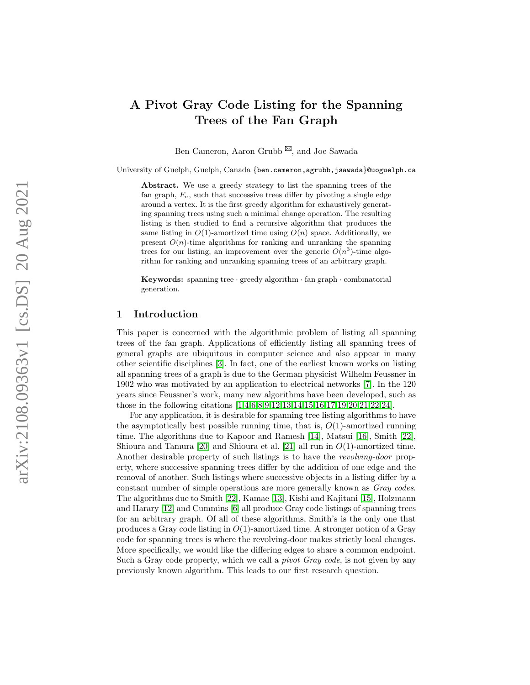# A Pivot Gray Code Listing for the Spanning Trees of the Fan Graph

Ben Cameron, Aaron Grubb<sup>⊠</sup>, and Joe Sawada

University of Guelph, Guelph, Canada {ben.cameron,agrubb,jsawada }@uoguelph.ca

Abstract. We use a greedy strategy to list the spanning trees of the fan graph,  $F_n$ , such that successive trees differ by pivoting a single edge around a vertex. It is the first greedy algorithm for exhaustively generating spanning trees using such a minimal change operation. The resulting listing is then studied to find a recursive algorithm that produces the same listing in  $O(1)$ -amortized time using  $O(n)$  space. Additionally, we present  $O(n)$ -time algorithms for ranking and unranking the spanning trees for our listing; an improvement over the generic  $O(n^3)$ -time algorithm for ranking and unranking spanning trees of an arbitrary graph.

Keywords: spanning tree · greedy algorithm · fan graph · combinatorial generation.

#### <span id="page-0-0"></span>1 Introduction

This paper is concerned with the algorithmic problem of listing all spanning trees of the fan graph. Applications of efficiently listing all spanning trees of general graphs are ubiquitous in computer science and also appear in many other scientific disciplines [\[3\]](#page-10-0). In fact, one of the earliest known works on listing all spanning trees of a graph is due to the German physicist Wilhelm Feussner in 1902 who was motivated by an application to electrical networks [\[7\]](#page-11-0). In the 120 years since Feussner's work, many new algorithms have been developed, such as those in the following citations [\[1,](#page-10-1)[4,](#page-10-2)[6](#page-11-1)[,8,](#page-11-2)[9,](#page-11-3)[12,](#page-11-4)[13](#page-11-5)[,14,](#page-11-6)[15,](#page-11-7)[16,](#page-11-8)[17,](#page-11-9)[19,](#page-11-10)[20,](#page-11-11)[21](#page-11-12)[,22,](#page-11-13)[24\]](#page-11-14).

For any application, it is desirable for spanning tree listing algorithms to have the asymptotically best possible running time, that is,  $O(1)$ -amortized running time. The algorithms due to Kapoor and Ramesh [\[14\]](#page-11-6), Matsui [\[16\]](#page-11-8), Smith [\[22\]](#page-11-13), Shioura and Tamura  $[20]$  and Shioura et al.  $[21]$  all run in  $O(1)$ -amortized time. Another desirable property of such listings is to have the revolving-door property, where successive spanning trees differ by the addition of one edge and the removal of another. Such listings where successive objects in a listing differ by a constant number of simple operations are more generally known as Gray codes. The algorithms due to Smith [\[22\]](#page-11-13), Kamae [\[13\]](#page-11-5), Kishi and Kajitani [\[15\]](#page-11-7), Holzmann and Harary [\[12\]](#page-11-4) and Cummins [\[6\]](#page-11-1) all produce Gray code listings of spanning trees for an arbitrary graph. Of all of these algorithms, Smith's is the only one that produces a Gray code listing in  $O(1)$ -amortized time. A stronger notion of a Gray code for spanning trees is where the revolving-door makes strictly local changes. More specifically, we would like the differing edges to share a common endpoint. Such a Gray code property, which we call a *pivot Gray code*, is not given by any previously known algorithm. This leads to our first research question.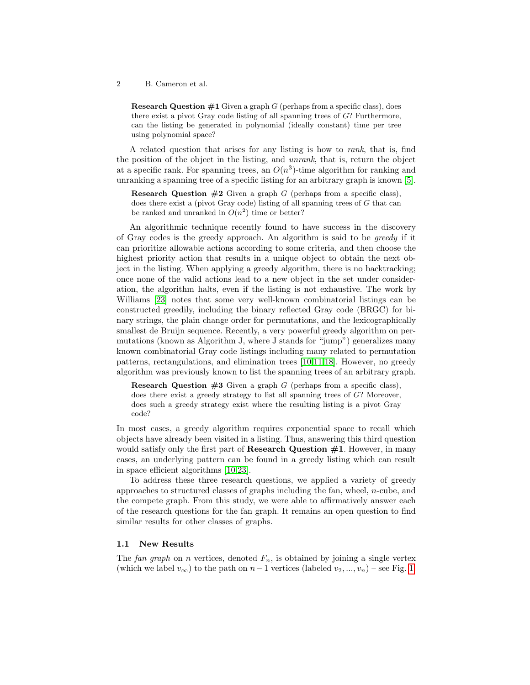**Research Question**  $\#1$  Given a graph G (perhaps from a specific class), does there exist a pivot Gray code listing of all spanning trees of G? Furthermore, can the listing be generated in polynomial (ideally constant) time per tree using polynomial space?

A related question that arises for any listing is how to rank, that is, find the position of the object in the listing, and unrank, that is, return the object at a specific rank. For spanning trees, an  $O(n^3)$ -time algorithm for ranking and unranking a spanning tree of a specific listing for an arbitrary graph is known [\[5\]](#page-11-15).

**Research Question**  $#2$  Given a graph G (perhaps from a specific class), does there exist a (pivot Gray code) listing of all spanning trees of G that can be ranked and unranked in  $O(n^2)$  time or better?

An algorithmic technique recently found to have success in the discovery of Gray codes is the greedy approach. An algorithm is said to be greedy if it can prioritize allowable actions according to some criteria, and then choose the highest priority action that results in a unique object to obtain the next object in the listing. When applying a greedy algorithm, there is no backtracking; once none of the valid actions lead to a new object in the set under consideration, the algorithm halts, even if the listing is not exhaustive. The work by Williams [\[23\]](#page-11-16) notes that some very well-known combinatorial listings can be constructed greedily, including the binary reflected Gray code (BRGC) for binary strings, the plain change order for permutations, and the lexicographically smallest de Bruijn sequence. Recently, a very powerful greedy algorithm on permutations (known as Algorithm J, where J stands for "jump") generalizes many known combinatorial Gray code listings including many related to permutation patterns, rectangulations, and elimination trees [\[10,](#page-11-17)[11](#page-11-18)[,18\]](#page-11-19). However, no greedy algorithm was previously known to list the spanning trees of an arbitrary graph.

**Research Question**  $#3$  Given a graph G (perhaps from a specific class), does there exist a greedy strategy to list all spanning trees of G? Moreover, does such a greedy strategy exist where the resulting listing is a pivot Gray code?

In most cases, a greedy algorithm requires exponential space to recall which objects have already been visited in a listing. Thus, answering this third question would satisfy only the first part of **Research Question**  $\#1$ . However, in many cases, an underlying pattern can be found in a greedy listing which can result in space efficient algorithms [\[10,](#page-11-17)[23\]](#page-11-16).

To address these three research questions, we applied a variety of greedy approaches to structured classes of graphs including the fan, wheel, n-cube, and the compete graph. From this study, we were able to affirmatively answer each of the research questions for the fan graph. It remains an open question to find similar results for other classes of graphs.

#### <span id="page-1-0"></span>1.1 New Results

The fan graph on n vertices, denoted  $F_n$ , is obtained by joining a single vertex (which we label  $v_{\infty}$ ) to the path on  $n-1$  vertices (labeled  $v_2, ..., v_n$ ) – see Fig. [1.](#page-2-0)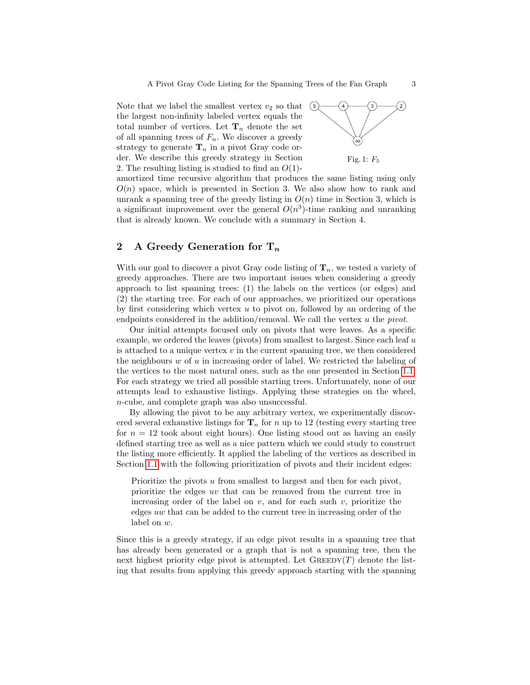Note that we label the smallest vertex  $v_2$  so that the largest non-infinity labeled vertex equals the total number of vertices. Let  $\mathbf{T}_n$  denote the set of all spanning trees of  $F_n$ . We discover a greedy strategy to generate  $\mathbf{T}_n$  in a pivot Gray code order. We describe this greedy strategy in Section 2. The resulting listing is studied to find an  $O(1)$ -

<span id="page-2-0"></span>

amortized time recursive algorithm that produces the same listing using only  $O(n)$  space, which is presented in Section 3. We also show how to rank and unrank a spanning tree of the greedy listing in  $O(n)$  time in Section 3, which is a significant improvement over the general  $O(n^3)$ -time ranking and unranking that is already known. We conclude with a summary in Section 4.

## 2 A Greedy Generation for  $T_n$

With our goal to discover a pivot Gray code listing of  $\mathbf{T}_n$ , we tested a variety of greedy approaches. There are two important issues when considering a greedy approach to list spanning trees: (1) the labels on the vertices (or edges) and (2) the starting tree. For each of our approaches, we prioritized our operations by first considering which vertex u to pivot on, followed by an ordering of the endpoints considered in the addition/removal. We call the vertex u the *pivot*.

Our initial attempts focused only on pivots that were leaves. As a specific example, we ordered the leaves (pivots) from smallest to largest. Since each leaf u is attached to a unique vertex  $v$  in the current spanning tree, we then considered the neighbours  $w$  of  $u$  in increasing order of label. We restricted the labeling of the vertices to the most natural ones, such as the one presented in Section [1.1.](#page-1-0) For each strategy we tried all possible starting trees. Unfortunately, none of our attempts lead to exhaustive listings. Applying these strategies on the wheel, n-cube, and complete graph was also unsuccessful.

By allowing the pivot to be any arbitrary vertex, we experimentally discovered several exhaustive listings for  $\mathbf{T}_n$  for n up to 12 (testing every starting tree for  $n = 12$  took about eight hours). One listing stood out as having an easily defined starting tree as well as a nice pattern which we could study to construct the listing more efficiently. It applied the labeling of the vertices as described in Section [1.1](#page-1-0) with the following prioritization of pivots and their incident edges:

Prioritize the pivots u from smallest to largest and then for each pivot, prioritize the edges uv that can be removed from the current tree in increasing order of the label on  $v$ , and for each such  $v$ , prioritize the edges uw that can be added to the current tree in increasing order of the label on w.

Since this is a greedy strategy, if an edge pivot results in a spanning tree that has already been generated or a graph that is not a spanning tree, then the next highest priority edge pivot is attempted. Let  $\text{GREEDY}(T)$  denote the listing that results from applying this greedy approach starting with the spanning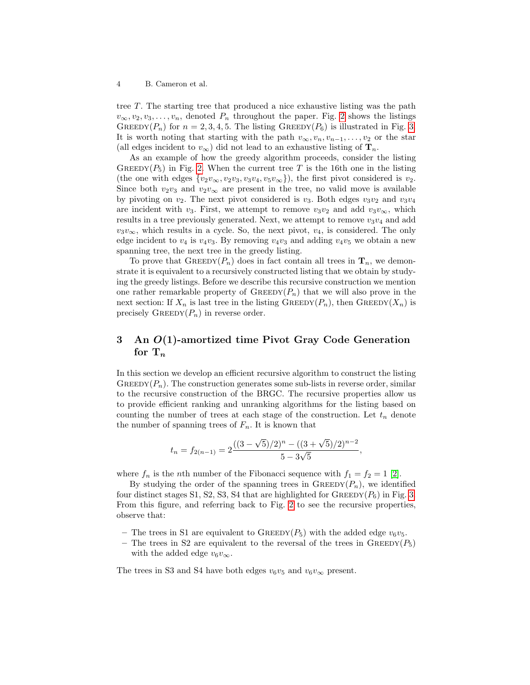tree T. The starting tree that produced a nice exhaustive listing was the path  $v_{\infty}, v_2, v_3, \ldots, v_n$ , denoted  $P_n$  throughout the paper. Fig. [2](#page-4-0) shows the listings GREEDY( $P_n$ ) for  $n = 2, 3, 4, 5$ . The listing GREEDY( $P_6$ ) is illustrated in Fig. [3.](#page-5-0) It is worth noting that starting with the path  $v_{\infty}, v_n, v_{n-1}, \ldots, v_2$  or the star (all edges incident to  $v_{\infty}$ ) did not lead to an exhaustive listing of  $\mathbf{T}_n$ .

As an example of how the greedy algorithm proceeds, consider the listing GREEDY( $P_5$ ) in Fig. [2.](#page-4-0) When the current tree T is the 16th one in the listing (the one with edges  $\{v_2v_{\infty}, v_2v_3, v_3v_4, v_5v_{\infty}\}\)$ , the first pivot considered is  $v_2$ . Since both  $v_2v_3$  and  $v_2v_\infty$  are present in the tree, no valid move is available by pivoting on  $v_2$ . The next pivot considered is  $v_3$ . Both edges  $v_3v_2$  and  $v_3v_4$ are incident with v<sub>3</sub>. First, we attempt to remove  $v_3v_2$  and add  $v_3v_{\infty}$ , which results in a tree previously generated. Next, we attempt to remove  $v_3v_4$  and add  $v_3v_\infty$ , which results in a cycle. So, the next pivot,  $v_4$ , is considered. The only edge incident to  $v_4$  is  $v_4v_3$ . By removing  $v_4v_3$  and adding  $v_4v_5$  we obtain a new spanning tree, the next tree in the greedy listing.

To prove that  $\text{GREEDY}(P_n)$  does in fact contain all trees in  $\mathbf{T}_n$ , we demonstrate it is equivalent to a recursively constructed listing that we obtain by studying the greedy listings. Before we describe this recursive construction we mention one rather remarkable property of  $\text{GREEDY}(P_n)$  that we will also prove in the next section: If  $X_n$  is last tree in the listing  $\text{GREEDY}(P_n)$ , then  $\text{GREEDY}(X_n)$  is precisely  $\text{GREEDY}(P_n)$  in reverse order.

# 3 An O(1)-amortized time Pivot Gray Code Generation for  $T_n$

In this section we develop an efficient recursive algorithm to construct the listing GREEDY $(P_n)$ . The construction generates some sub-lists in reverse order, similar to the recursive construction of the BRGC. The recursive properties allow us to provide efficient ranking and unranking algorithms for the listing based on counting the number of trees at each stage of the construction. Let  $t_n$  denote the number of spanning trees of  $F_n$ . It is known that

$$
t_n = f_{2(n-1)} = 2\frac{((3-\sqrt{5})/2)^n - ((3+\sqrt{5})/2)^{n-2}}{5-3\sqrt{5}},
$$

where  $f_n$  is the *n*th number of the Fibonacci sequence with  $f_1 = f_2 = 1$  [\[2\]](#page-10-3).

By studying the order of the spanning trees in  $\text{GREEDY}(P_n)$ , we identified four distinct stages S1, S2, S3, S4 that are highlighted for  $G$ REEDY $(P_6)$  in Fig. [3.](#page-5-0) From this figure, and referring back to Fig. [2](#page-4-0) to see the recursive properties, observe that:

- The trees in S1 are equivalent to GREEDY( $P_5$ ) with the added edge  $v_6v_5$ .
- The trees in S2 are equivalent to the reversal of the trees in  $\text{GREEDY}(P_5)$ with the added edge  $v_6v_\infty$ .

The trees in S3 and S4 have both edges  $v_6v_5$  and  $v_6v_\infty$  present.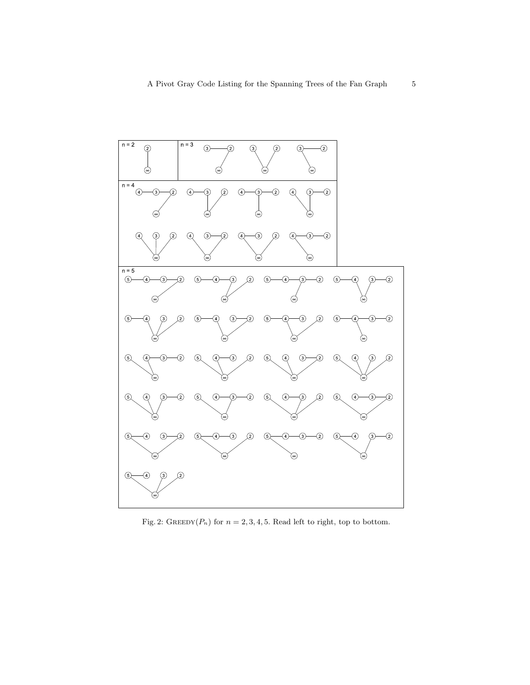<span id="page-4-0"></span>

Fig. 2: GREEDY( $P_n$ ) for  $n = 2, 3, 4, 5$ . Read left to right, top to bottom.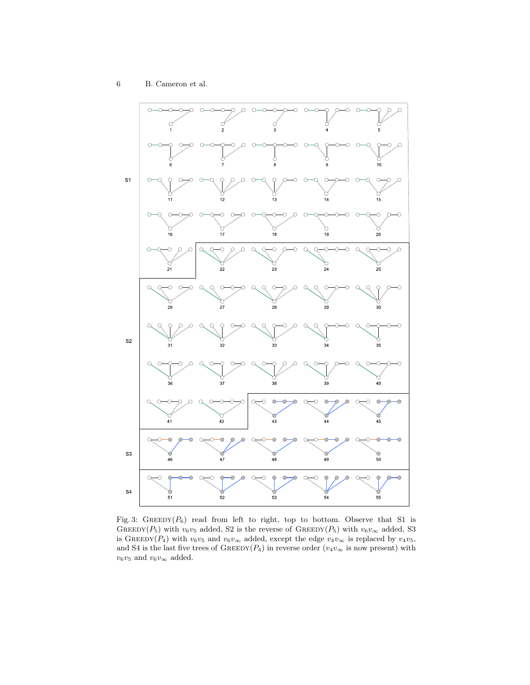<span id="page-5-0"></span>

Fig. 3: GREEDY( $P_6$ ) read from left to right, top to bottom. Observe that S1 is GREEDY( $P_5$ ) with  $v_6v_5$  added, S2 is the reverse of GREEDY( $P_5$ ) with  $v_6v_{\infty}$  added, S3 is GREEDY(P<sub>4</sub>) with  $v_6v_5$  and  $v_6v_\infty$  added, except the edge  $v_4v_\infty$  is replaced by  $v_4v_5$ , and S4 is the last five trees of GREEDY( $P_4$ ) in reverse order ( $v_4v_{\infty}$  is now present) with  $v_6v_5$  and  $v_6v_\infty$  added.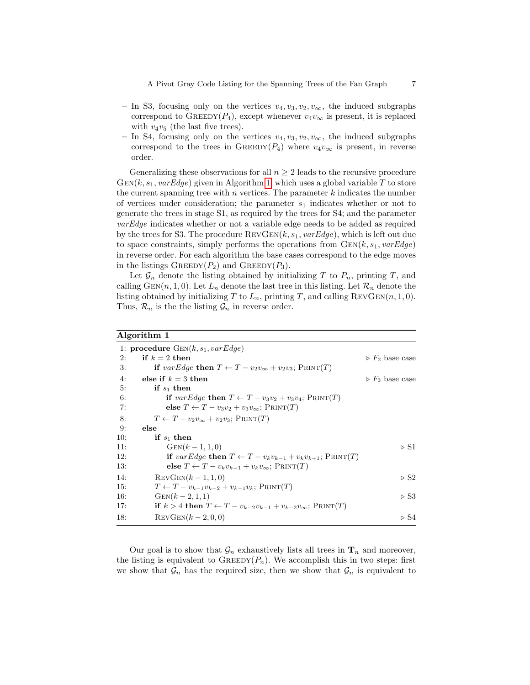- In S3, focusing only on the vertices  $v_4, v_3, v_2, v_{\infty}$ , the induced subgraphs correspond to GREEDY( $P_4$ ), except whenever  $v_4v_{\infty}$  is present, it is replaced with  $v_4v_5$  (the last five trees).
- In S4, focusing only on the vertices  $v_4, v_3, v_2, v_\infty$ , the induced subgraphs correspond to the trees in GREEDY( $P_4$ ) where  $v_4v_{\infty}$  is present, in reverse order.

Generalizing these observations for all  $n \geq 2$  leads to the recursive procedure  $GEN(k, s_1, \textit{varEdge})$  given in Algorithm [1,](#page-6-0) which uses a global variable T to store the current spanning tree with  $n$  vertices. The parameter  $k$  indicates the number of vertices under consideration; the parameter  $s_1$  indicates whether or not to generate the trees in stage S1, as required by the trees for S4; and the parameter varEdge indicates whether or not a variable edge needs to be added as required by the trees for S3. The procedure  $REVGEN(k, s_1, \textit{varEdge})$ , which is left out due to space constraints, simply performs the operations from  $GEN(k, s_1, varEdge)$ in reverse order. For each algorithm the base cases correspond to the edge moves in the listings  $\text{GreeDY}(P_2)$  and  $\text{GreeDY}(P_3)$ .

Let  $\mathcal{G}_n$  denote the listing obtained by initializing T to  $P_n$ , printing T, and calling GEN(n, 1, 0). Let  $L_n$  denote the last tree in this listing. Let  $\mathcal{R}_n$  denote the listing obtained by initializing T to  $L_n$ , printing T, and calling REVGEN $(n, 1, 0)$ . Thus,  $\mathcal{R}_n$  is the the listing  $\mathcal{G}_n$  in reverse order.

#### <span id="page-6-0"></span>Algorithm 1

|     | 1: procedure $GEN(k, s_1, varEdge)$                                              |                                |
|-----|----------------------------------------------------------------------------------|--------------------------------|
| 2:  | if $k=2$ then                                                                    | $\triangleright F_2$ base case |
| 3:  | if varEdge then $T \leftarrow T - v_2 v_{\infty} + v_2 v_3$ ; PRINT(T)           |                                |
| 4:  | else if $k = 3$ then                                                             | $\triangleright F_3$ base case |
| 5:  | if $s_1$ then                                                                    |                                |
| 6:  | if varEdge then $T \leftarrow T - v_3v_2 + v_3v_4$ ; PRINT(T)                    |                                |
| 7:  | else $T \leftarrow T - v_3v_2 + v_3v_{\infty}$ ; PRINT(T)                        |                                |
| 8:  | $T \leftarrow T - v_2 v_{\infty} + v_2 v_3$ ; PRINT(T)                           |                                |
| 9:  | else                                                                             |                                |
| 10: | if $s_1$ then                                                                    |                                |
| 11: | $GEN(k-1,1,0)$                                                                   | $\triangleright$ S1            |
| 12: | if varEdge then $T \leftarrow T - v_k v_{k-1} + v_k v_{k+1}$ ; PRINT(T)          |                                |
| 13: | else $T \leftarrow T - v_k v_{k-1} + v_k v_{\infty}$ ; PRINT $(T)$               |                                |
| 14: | $REVGEN(k-1,1,0)$                                                                | $\triangleright$ S2            |
| 15: | $T \leftarrow T - v_{k-1}v_{k-2} + v_{k-1}v_k$ ; PRINT $(T)$                     |                                |
| 16: | $GEN(k-2,1,1)$                                                                   | $\triangleright$ S3            |
| 17: | if $k > 4$ then $T \leftarrow T - v_{k-2}v_{k-1} + v_{k-2}v_{\infty}$ ; PRINT(T) |                                |
| 18: | $REVGEN(k-2,0,0)$                                                                | $\triangleright$ S4            |
|     |                                                                                  |                                |

Our goal is to show that  $\mathcal{G}_n$  exhaustively lists all trees in  $\mathbf{T}_n$  and moreover, the listing is equivalent to  $\text{GREEDY}(P_n)$ . We accomplish this in two steps: first we show that  $\mathcal{G}_n$  has the required size, then we show that  $\mathcal{G}_n$  is equivalent to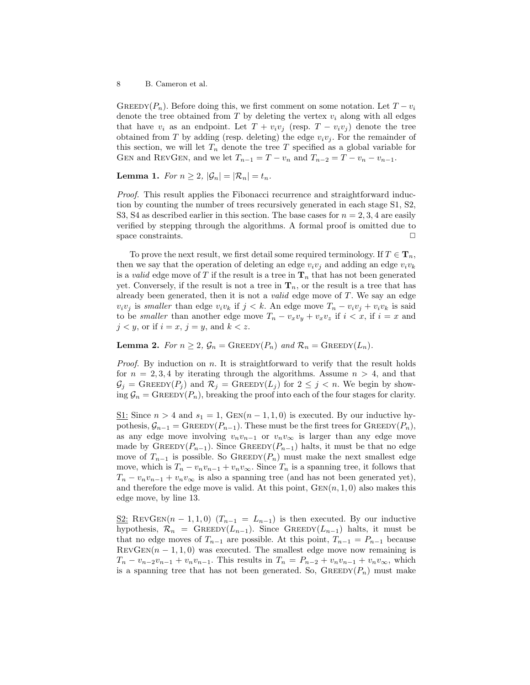GREEDY( $P_n$ ). Before doing this, we first comment on some notation. Let  $T - v_i$ denote the tree obtained from  $T$  by deleting the vertex  $v_i$  along with all edges that have  $v_i$  as an endpoint. Let  $T + v_i v_j$  (resp.  $T - v_i v_j$ ) denote the tree obtained from T by adding (resp. deleting) the edge  $v_i v_j$ . For the remainder of this section, we will let  $T_n$  denote the tree T specified as a global variable for GEN and REVGEN, and we let  $T_{n-1} = T - v_n$  and  $T_{n-2} = T - v_n - v_{n-1}$ .

<span id="page-7-0"></span>**Lemma 1.** For  $n \geq 2$ ,  $|\mathcal{G}_n| = |\mathcal{R}_n| = t_n$ .

Proof. This result applies the Fibonacci recurrence and straightforward induction by counting the number of trees recursively generated in each stage S1, S2, S3, S4 as described earlier in this section. The base cases for  $n = 2, 3, 4$  are easily verified by stepping through the algorithms. A formal proof is omitted due to space constraints.  $\Box$ 

To prove the next result, we first detail some required terminology. If  $T \in \mathbf{T}_n$ , then we say that the operation of deleting an edge  $v_i v_j$  and adding an edge  $v_i v_k$ is a *valid* edge move of T if the result is a tree in  $\mathbf{T}_n$  that has not been generated yet. Conversely, if the result is not a tree in  $\mathbf{T}_n$ , or the result is a tree that has already been generated, then it is not a *valid* edge move of  $T$ . We say an edge  $v_i v_j$  is smaller than edge  $v_i v_k$  if  $j < k$ . An edge move  $T_n - v_i v_j + v_i v_k$  is said to be *smaller* than another edge move  $T_n - v_xv_y + v_xv_z$  if  $i < x$ , if  $i = x$  and  $j < y$ , or if  $i = x$ ,  $j = y$ , and  $k < z$ .

<span id="page-7-1"></span>**Lemma 2.** For  $n \geq 2$ ,  $\mathcal{G}_n = \text{GREEDY}(P_n)$  and  $\mathcal{R}_n = \text{GREEDY}(L_n)$ .

*Proof.* By induction on  $n$ . It is straightforward to verify that the result holds for  $n = 2, 3, 4$  by iterating through the algorithms. Assume  $n > 4$ , and that  $\mathcal{G}_j = \text{GreeDY}(P_j)$  and  $\mathcal{R}_j = \text{GreeDY}(L_j)$  for  $2 \leq j \leq n$ . We begin by showing  $\mathcal{G}_n = \text{GREDY}(P_n)$ , breaking the proof into each of the four stages for clarity.

<u>S1</u>: Since  $n > 4$  and  $s_1 = 1$ , GEN $(n - 1, 1, 0)$  is executed. By our inductive hypothesis,  $\mathcal{G}_{n-1} = \text{GREDY}(P_{n-1})$ . These must be the first trees for  $\text{GREDY}(P_n)$ , as any edge move involving  $v_n v_{n-1}$  or  $v_n v_{\infty}$  is larger than any edge move made by GREEDY( $P_{n-1}$ ). Since GREEDY( $P_{n-1}$ ) halts, it must be that no edge move of  $T_{n-1}$  is possible. So GREEDY( $P_n$ ) must make the next smallest edge move, which is  $T_n - v_n v_{n-1} + v_n v_{\infty}$ . Since  $T_n$  is a spanning tree, it follows that  $T_n - v_n v_{n-1} + v_n v_{\infty}$  is also a spanning tree (and has not been generated yet), and therefore the edge move is valid. At this point,  $GEN(n, 1, 0)$  also makes this edge move, by line 13.

<u>S2</u>: REVGEN $(n-1,1,0)$   $(T_{n-1} = L_{n-1})$  is then executed. By our inductive hypothesis,  $\mathcal{R}_n$  = GREEDY( $L_{n-1}$ ). Since GREEDY( $L_{n-1}$ ) halts, it must be that no edge moves of  $T_{n-1}$  are possible. At this point,  $T_{n-1} = P_{n-1}$  because  $RevGEN(n - 1, 1, 0)$  was executed. The smallest edge move now remaining is  $T_n - v_{n-2}v_{n-1} + v_nv_{n-1}$ . This results in  $T_n = P_{n-2} + v_nv_{n-1} + v_nv_{\infty}$ , which is a spanning tree that has not been generated. So,  $\text{GREEDY}(P_n)$  must make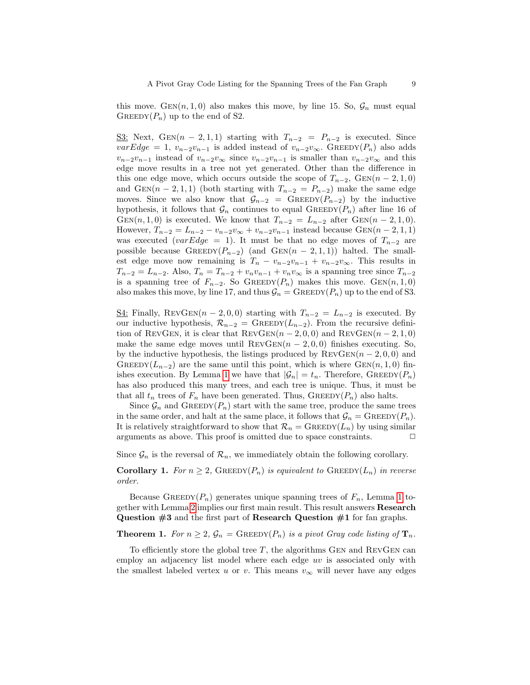this move.  $GEN(n, 1, 0)$  also makes this move, by line 15. So,  $\mathcal{G}_n$  must equal GREEDY $(P_n)$  up to the end of S2.

<u>S3</u>: Next, GEN $(n-2,1,1)$  starting with  $T_{n-2} = P_{n-2}$  is executed. Since  $varEdge = 1, v_{n-2}v_{n-1}$  is added instead of  $v_{n-2}v_{\infty}$ . GREEDY(P<sub>n</sub>) also adds  $v_{n-2}v_{n-1}$  instead of  $v_{n-2}v_{\infty}$  since  $v_{n-2}v_{n-1}$  is smaller than  $v_{n-2}v_{\infty}$  and this edge move results in a tree not yet generated. Other than the difference in this one edge move, which occurs outside the scope of  $T_{n-2}$ ,  $GEN(n-2,1,0)$ and GEN(n − 2, 1, 1) (both starting with  $T_{n-2} = P_{n-2}$ ) make the same edge moves. Since we also know that  $\mathcal{G}_{n-2} = \text{GREEDY}(P_{n-2})$  by the inductive hypothesis, it follows that  $\mathcal{G}_n$  continues to equal GREEDY( $P_n$ ) after line 16 of GEN $(n, 1, 0)$  is executed. We know that  $T_{n-2} = L_{n-2}$  after GEN $(n-2, 1, 0)$ . However,  $T_{n-2} = L_{n-2} - v_{n-2}v_{\infty} + v_{n-2}v_{n-1}$  instead because  $GEN(n-2,1,1)$ was executed (varEdge = 1). It must be that no edge moves of  $T_{n-2}$  are possible because  $\text{GREEDY}(P_{n-2})$  (and  $\text{GEN}(n-2,1,1)$ ) halted. The smallest edge move now remaining is  $T_n - v_{n-2}v_{n-1} + v_{n-2}v_{\infty}$ . This results in  $T_{n-2} = L_{n-2}$ . Also,  $T_n = T_{n-2} + v_n v_{n-1} + v_n v_{\infty}$  is a spanning tree since  $T_{n-2}$ is a spanning tree of  $F_{n-2}$ . So GREEDY( $P_n$ ) makes this move. GEN( $n, 1, 0$ ) also makes this move, by line 17, and thus  $\mathcal{G}_n = \text{GREEDY}(P_n)$  up to the end of S3.

<u>S4:</u> Finally, REVGEN $(n-2,0,0)$  starting with  $T_{n-2} = L_{n-2}$  is executed. By our inductive hypothesis,  $\mathcal{R}_{n-2} = \text{GREEDY}(L_{n-2})$ . From the recursive definition of REVGEN, it is clear that  $\text{RevGen}(n-2,0,0)$  and  $\text{RevGen}(n-2,1,0)$ make the same edge moves until  $REVGEN(n - 2, 0, 0)$  finishes executing. So, by the inductive hypothesis, the listings produced by  $REVGEN(n-2, 0, 0)$  and GREEDY( $L_{n-2}$ ) are the same until this point, which is where GEN(n, 1, 0) fin-ishes execution. By Lemma [1](#page-7-0) we have that  $|\mathcal{G}_n| = t_n$ . Therefore, GREEDY( $P_n$ ) has also produced this many trees, and each tree is unique. Thus, it must be that all  $t_n$  trees of  $F_n$  have been generated. Thus,  $\text{GREEDY}(P_n)$  also halts.

Since  $\mathcal{G}_n$  and GREEDY( $P_n$ ) start with the same tree, produce the same trees in the same order, and halt at the same place, it follows that  $\mathcal{G}_n = \text{GREEDY}(P_n)$ . It is relatively straightforward to show that  $\mathcal{R}_n = \text{GREEDY}(L_n)$  by using similar arguments as above. This proof is omitted due to space constraints.  $\Box$ 

Since  $\mathcal{G}_n$  is the reversal of  $\mathcal{R}_n$ , we immediately obtain the following corollary.

**Corollary 1.** For  $n \geq 2$ , GREEDY( $P_n$ ) is equivalent to GREEDY( $L_n$ ) in reverse order.

Because GREEDY( $P_n$ ) generates unique spanning trees of  $F_n$ , Lemma [1](#page-7-0) together with Lemma [2](#page-7-1) implies our first main result. This result answers Research Question  $\#3$  and the first part of Research Question  $\#1$  for fan graphs.

## **Theorem 1.** For  $n \geq 2$ ,  $\mathcal{G}_n = \text{GREEDY}(P_n)$  is a pivot Gray code listing of  $\mathbf{T}_n$ .

To efficiently store the global tree  $T$ , the algorithms GEN and REVGEN can employ an adjacency list model where each edge uv is associated only with the smallest labeled vertex u or v. This means  $v_{\infty}$  will never have any edges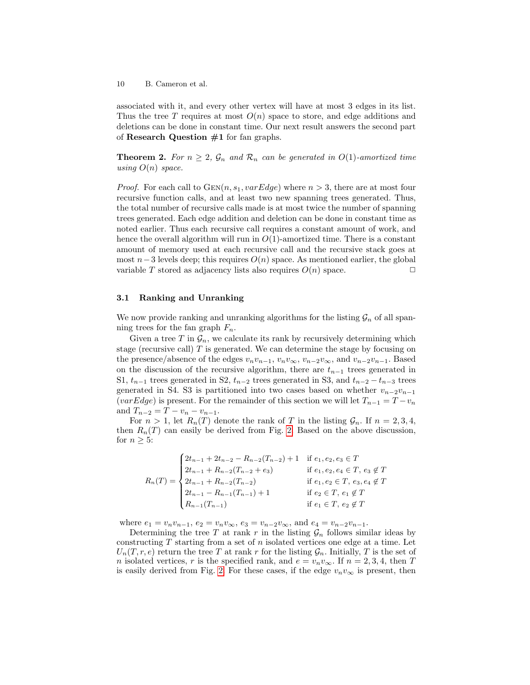associated with it, and every other vertex will have at most 3 edges in its list. Thus the tree T requires at most  $O(n)$  space to store, and edge additions and deletions can be done in constant time. Our next result answers the second part of Research Question  $#1$  for fan graphs.

**Theorem 2.** For  $n \geq 2$ ,  $\mathcal{G}_n$  and  $\mathcal{R}_n$  can be generated in  $O(1)$ -amortized time using  $O(n)$  space.

*Proof.* For each call to  $GEN(n, s_1, varEdge)$  where  $n > 3$ , there are at most four recursive function calls, and at least two new spanning trees generated. Thus, the total number of recursive calls made is at most twice the number of spanning trees generated. Each edge addition and deletion can be done in constant time as noted earlier. Thus each recursive call requires a constant amount of work, and hence the overall algorithm will run in  $O(1)$ -amortized time. There is a constant amount of memory used at each recursive call and the recursive stack goes at most  $n-3$  levels deep; this requires  $O(n)$  space. As mentioned earlier, the global variable T stored as adjacency lists also requires  $O(n)$  space.  $\Box$ 

#### 3.1 Ranking and Unranking

We now provide ranking and unranking algorithms for the listing  $\mathcal{G}_n$  of all spanning trees for the fan graph  $F_n$ .

Given a tree T in  $\mathcal{G}_n$ , we calculate its rank by recursively determining which stage (recursive call) T is generated. We can determine the stage by focusing on the presence/absence of the edges  $v_n v_{n-1}$ ,  $v_n v_{\infty}$ ,  $v_{n-2} v_{\infty}$ , and  $v_{n-2} v_{n-1}$ . Based on the discussion of the recursive algorithm, there are  $t_{n-1}$  trees generated in S1,  $t_{n-1}$  trees generated in S2,  $t_{n-2}$  trees generated in S3, and  $t_{n-2} - t_{n-3}$  trees generated in S4. S3 is partitioned into two cases based on whether  $v_{n-2}v_{n-1}$ (varEdge) is present. For the remainder of this section we will let  $T_{n-1} = T - v_n$ and  $T_{n-2} = T - v_n - v_{n-1}$ .

For  $n > 1$ , let  $R_n(T)$  denote the rank of T in the listing  $\mathcal{G}_n$ . If  $n = 2, 3, 4$ , then  $R_n(T)$  can easily be derived from Fig. [2.](#page-4-0) Based on the above discussion, for  $n \geq 5$ :

$$
R_n(T) = \begin{cases} 2t_{n-1} + 2t_{n-2} - R_{n-2}(T_{n-2}) + 1 & \text{if } e_1, e_2, e_3 \in T \\ 2t_{n-1} + R_{n-2}(T_{n-2} + e_3) & \text{if } e_1, e_2, e_4 \in T, e_3 \notin T \\ 2t_{n-1} + R_{n-2}(T_{n-2}) & \text{if } e_1, e_2 \in T, e_3, e_4 \notin T \\ 2t_{n-1} - R_{n-1}(T_{n-1}) + 1 & \text{if } e_2 \in T, e_1 \notin T \\ R_{n-1}(T_{n-1}) & \text{if } e_1 \in T, e_2 \notin T \end{cases}
$$

where  $e_1 = v_n v_{n-1}$ ,  $e_2 = v_n v_{\infty}$ ,  $e_3 = v_{n-2} v_{\infty}$ , and  $e_4 = v_{n-2} v_{n-1}$ .

Determining the tree T at rank r in the listing  $\mathcal{G}_n$  follows similar ideas by constructing  $T$  starting from a set of  $n$  isolated vertices one edge at a time. Let  $U_n(T, r, e)$  return the tree T at rank r for the listing  $\mathcal{G}_n$ . Initially, T is the set of *n* isolated vertices, *r* is the specified rank, and  $e = v_n v_\infty$ . If  $n = 2, 3, 4$ , then T is easily derived from Fig. [2.](#page-4-0) For these cases, if the edge  $v_n v_\infty$  is present, then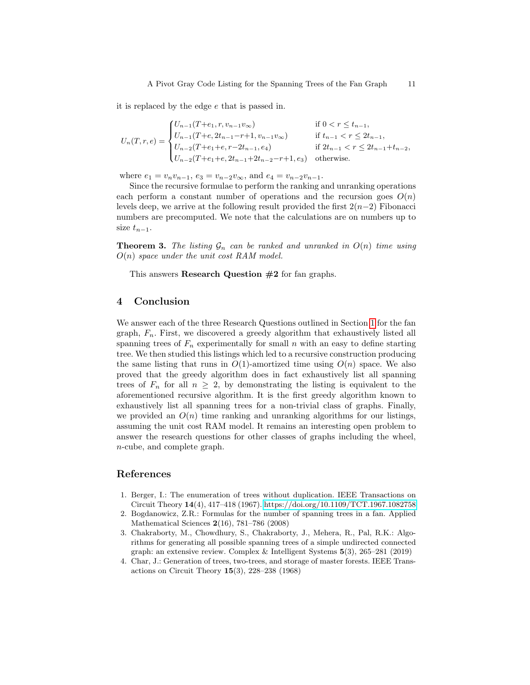it is replaced by the edge e that is passed in.

$$
U_n(T,r,e) = \begin{cases} U_{n-1}(T+e_1,r,v_{n-1}v_{\infty}) & \text{if } 0 < r \le t_{n-1}, \\ U_{n-1}(T+e,2t_{n-1}-r+1,v_{n-1}v_{\infty}) & \text{if } t_{n-1} < r \le 2t_{n-1}, \\ U_{n-2}(T+e_1+e,r-2t_{n-1},e_4) & \text{if } 2t_{n-1} < r \le 2t_{n-1}+t_{n-2}, \\ U_{n-2}(T+e_1+e,2t_{n-1}+2t_{n-2}-r+1,e_3) & \text{otherwise.} \end{cases}
$$

where  $e_1 = v_n v_{n-1}$ ,  $e_3 = v_{n-2}v_{\infty}$ , and  $e_4 = v_{n-2}v_{n-1}$ .

Since the recursive formulae to perform the ranking and unranking operations each perform a constant number of operations and the recursion goes  $O(n)$ levels deep, we arrive at the following result provided the first  $2(n-2)$  Fibonacci numbers are precomputed. We note that the calculations are on numbers up to size  $t_{n-1}$ .

**Theorem 3.** The listing  $\mathcal{G}_n$  can be ranked and unranked in  $O(n)$  time using  $O(n)$  space under the unit cost RAM model.

This answers Research Question #2 for fan graphs.

# 4 Conclusion

We answer each of the three Research Questions outlined in Section [1](#page-0-0) for the fan graph,  $F_n$ . First, we discovered a greedy algorithm that exhaustively listed all spanning trees of  $F_n$  experimentally for small n with an easy to define starting tree. We then studied this listings which led to a recursive construction producing the same listing that runs in  $O(1)$ -amortized time using  $O(n)$  space. We also proved that the greedy algorithm does in fact exhaustively list all spanning trees of  $F_n$  for all  $n \geq 2$ , by demonstrating the listing is equivalent to the aforementioned recursive algorithm. It is the first greedy algorithm known to exhaustively list all spanning trees for a non-trivial class of graphs. Finally, we provided an  $O(n)$  time ranking and unranking algorithms for our listings, assuming the unit cost RAM model. It remains an interesting open problem to answer the research questions for other classes of graphs including the wheel, n-cube, and complete graph.

#### References

- <span id="page-10-1"></span>1. Berger, I.: The enumeration of trees without duplication. IEEE Transactions on Circuit Theory 14(4), 417–418 (1967).<https://doi.org/10.1109/TCT.1967.1082758>
- <span id="page-10-3"></span>2. Bogdanowicz, Z.R.: Formulas for the number of spanning trees in a fan. Applied Mathematical Sciences 2(16), 781–786 (2008)
- <span id="page-10-0"></span>3. Chakraborty, M., Chowdhury, S., Chakraborty, J., Mehera, R., Pal, R.K.: Algorithms for generating all possible spanning trees of a simple undirected connected graph: an extensive review. Complex & Intelligent Systems 5(3), 265–281 (2019)
- <span id="page-10-2"></span>4. Char, J.: Generation of trees, two-trees, and storage of master forests. IEEE Transactions on Circuit Theory 15(3), 228–238 (1968)